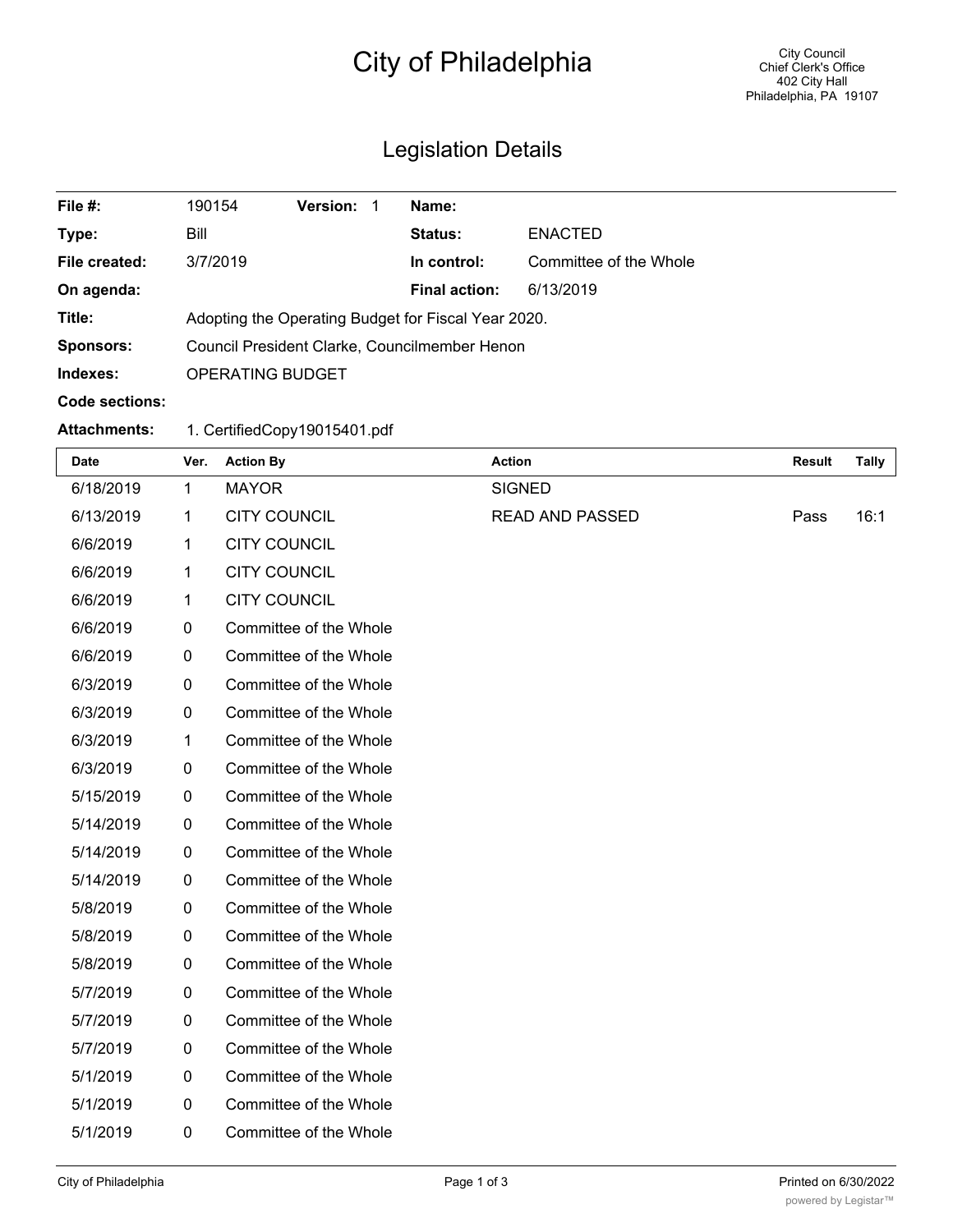## City of Philadelphia

## Legislation Details

| File #:               | 190154                                              | <b>Version:</b> |  | Name:                |                        |
|-----------------------|-----------------------------------------------------|-----------------|--|----------------------|------------------------|
| Type:                 | Bill                                                |                 |  | Status:              | <b>ENACTED</b>         |
| File created:         | 3/7/2019                                            |                 |  | In control:          | Committee of the Whole |
| On agenda:            |                                                     |                 |  | <b>Final action:</b> | 6/13/2019              |
| Title:                | Adopting the Operating Budget for Fiscal Year 2020. |                 |  |                      |                        |
| <b>Sponsors:</b>      | Council President Clarke, Councilmember Henon       |                 |  |                      |                        |
| Indexes:              | <b>OPERATING BUDGET</b>                             |                 |  |                      |                        |
| <b>Code sections:</b> |                                                     |                 |  |                      |                        |
| <b>Attachments:</b>   | 1. CertifiedCopy19015401.pdf                        |                 |  |                      |                        |

| Date      | Ver. | <b>Action By</b>       | <b>Action</b>          | <b>Result</b> | <b>Tally</b> |
|-----------|------|------------------------|------------------------|---------------|--------------|
| 6/18/2019 | 1    | <b>MAYOR</b>           | <b>SIGNED</b>          |               |              |
| 6/13/2019 | 1    | <b>CITY COUNCIL</b>    | <b>READ AND PASSED</b> | Pass          | 16:1         |
| 6/6/2019  | 1    | <b>CITY COUNCIL</b>    |                        |               |              |
| 6/6/2019  | 1    | <b>CITY COUNCIL</b>    |                        |               |              |
| 6/6/2019  | 1    | <b>CITY COUNCIL</b>    |                        |               |              |
| 6/6/2019  | 0    | Committee of the Whole |                        |               |              |
| 6/6/2019  | 0    | Committee of the Whole |                        |               |              |
| 6/3/2019  | 0    | Committee of the Whole |                        |               |              |
| 6/3/2019  | 0    | Committee of the Whole |                        |               |              |
| 6/3/2019  | 1    | Committee of the Whole |                        |               |              |
| 6/3/2019  | 0    | Committee of the Whole |                        |               |              |
| 5/15/2019 | 0    | Committee of the Whole |                        |               |              |
| 5/14/2019 | 0    | Committee of the Whole |                        |               |              |
| 5/14/2019 | 0    | Committee of the Whole |                        |               |              |
| 5/14/2019 | 0    | Committee of the Whole |                        |               |              |
| 5/8/2019  | 0    | Committee of the Whole |                        |               |              |
| 5/8/2019  | 0    | Committee of the Whole |                        |               |              |
| 5/8/2019  | 0    | Committee of the Whole |                        |               |              |
| 5/7/2019  | 0    | Committee of the Whole |                        |               |              |
| 5/7/2019  | 0    | Committee of the Whole |                        |               |              |
| 5/7/2019  | 0    | Committee of the Whole |                        |               |              |
| 5/1/2019  | 0    | Committee of the Whole |                        |               |              |
| 5/1/2019  | 0    | Committee of the Whole |                        |               |              |
| 5/1/2019  | 0    | Committee of the Whole |                        |               |              |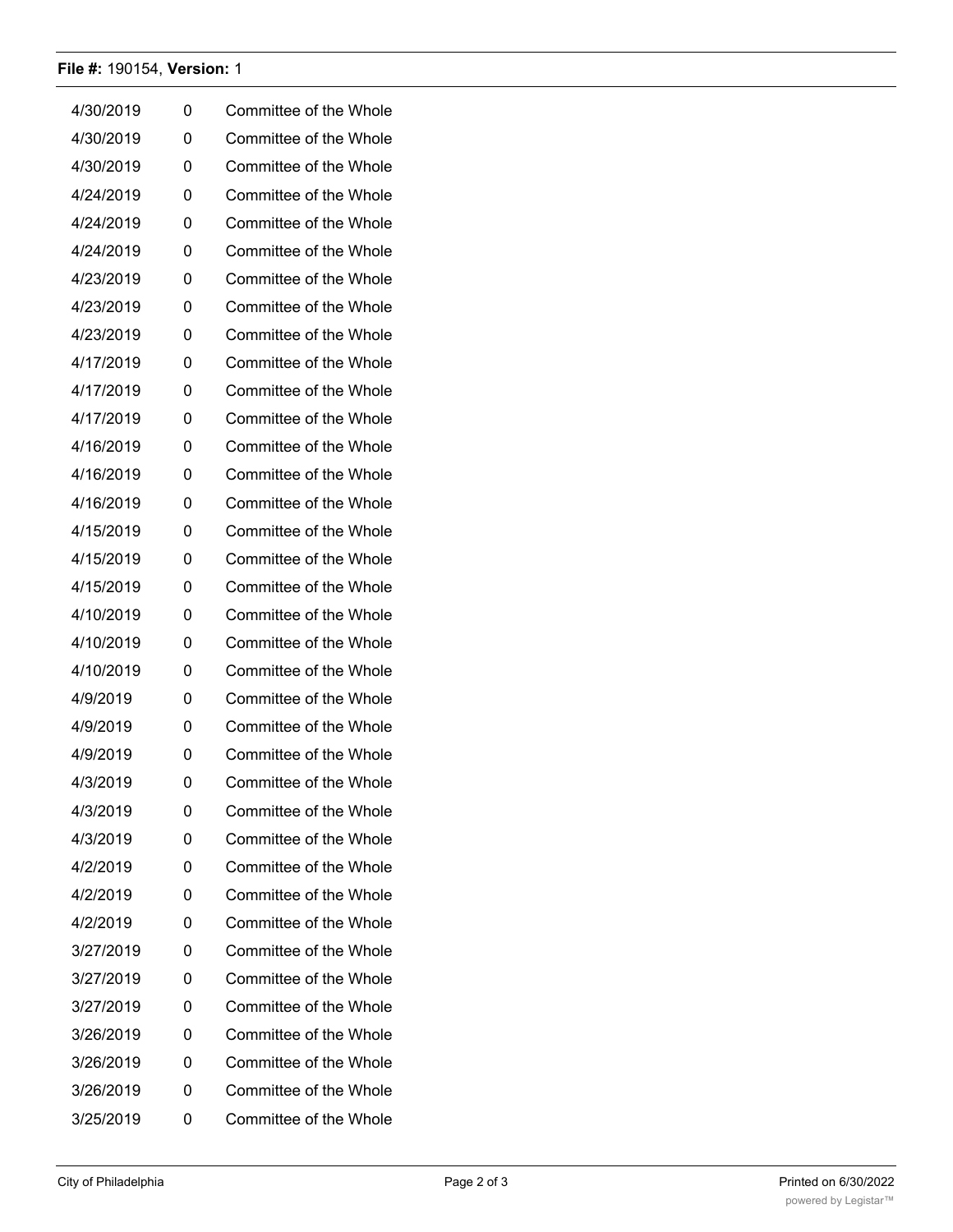## **File #:** 190154, **Version:** 1

| 4/30/2019 | 0 | Committee of the Whole |
|-----------|---|------------------------|
| 4/30/2019 | 0 | Committee of the Whole |
| 4/30/2019 | 0 | Committee of the Whole |
| 4/24/2019 | 0 | Committee of the Whole |
| 4/24/2019 | 0 | Committee of the Whole |
| 4/24/2019 | 0 | Committee of the Whole |
| 4/23/2019 | 0 | Committee of the Whole |
| 4/23/2019 | 0 | Committee of the Whole |
| 4/23/2019 | 0 | Committee of the Whole |
| 4/17/2019 | 0 | Committee of the Whole |
| 4/17/2019 | 0 | Committee of the Whole |
| 4/17/2019 | 0 | Committee of the Whole |
| 4/16/2019 | 0 | Committee of the Whole |
| 4/16/2019 | 0 | Committee of the Whole |
| 4/16/2019 | 0 | Committee of the Whole |
| 4/15/2019 | 0 | Committee of the Whole |
| 4/15/2019 | 0 | Committee of the Whole |
| 4/15/2019 | 0 | Committee of the Whole |
| 4/10/2019 | 0 | Committee of the Whole |
| 4/10/2019 | 0 | Committee of the Whole |
| 4/10/2019 | 0 | Committee of the Whole |
| 4/9/2019  | 0 | Committee of the Whole |
| 4/9/2019  | 0 | Committee of the Whole |
| 4/9/2019  | 0 | Committee of the Whole |
| 4/3/2019  | 0 | Committee of the Whole |
| 4/3/2019  | 0 | Committee of the Whole |
| 4/3/2019  | 0 | Committee of the Whole |
| 4/2/2019  | 0 | Committee of the Whole |
| 4/2/2019  | 0 | Committee of the Whole |
| 4/2/2019  | 0 | Committee of the Whole |
| 3/27/2019 | 0 | Committee of the Whole |
| 3/27/2019 | 0 | Committee of the Whole |
| 3/27/2019 | 0 | Committee of the Whole |
| 3/26/2019 | 0 | Committee of the Whole |
| 3/26/2019 | 0 | Committee of the Whole |
| 3/26/2019 | 0 | Committee of the Whole |
| 3/25/2019 | 0 | Committee of the Whole |